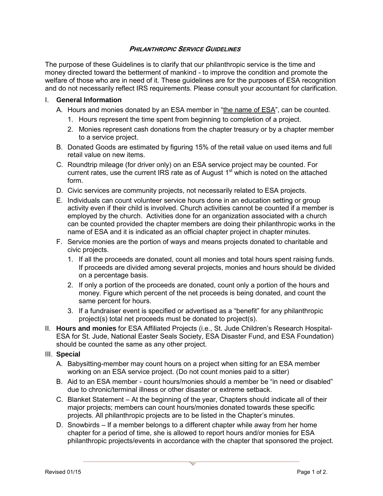## **PHILANTHROPIC SERVICE GUIDELINES**

The purpose of these Guidelines is to clarify that our philanthropic service is the time and money directed toward the betterment of mankind - to improve the condition and promote the welfare of those who are in need of it. These guidelines are for the purposes of ESA recognition and do not necessarily reflect IRS requirements. Please consult your accountant for clarification.

## I. **General Information**

- A. Hours and monies donated by an ESA member in "the name of ESA", can be counted.
	- 1. Hours represent the time spent from beginning to completion of a project.
	- 2. Monies represent cash donations from the chapter treasury or by a chapter member to a service project.
- B. Donated Goods are estimated by figuring 15% of the retail value on used items and full retail value on new items.
- C. Roundtrip mileage (for driver only) on an ESA service project may be counted. For current rates, use the current IRS rate as of August  $1<sup>st</sup>$  which is noted on the attached form.
- D. Civic services are community projects, not necessarily related to ESA projects.
- E. Individuals can count volunteer service hours done in an education setting or group activity even if their child is involved. Church activities cannot be counted if a member is employed by the church. Activities done for an organization associated with a church can be counted provided the chapter members are doing their philanthropic works in the name of ESA and it is indicated as an official chapter project in chapter minutes.
- F. Service monies are the portion of ways and means projects donated to charitable and civic projects.
	- 1. If all the proceeds are donated, count all monies and total hours spent raising funds. If proceeds are divided among several projects, monies and hours should be divided on a percentage basis.
	- 2. If only a portion of the proceeds are donated, count only a portion of the hours and money. Figure which percent of the net proceeds is being donated, and count the same percent for hours.
	- 3. If a fundraiser event is specified or advertised as a "benefit" for any philanthropic project(s) total net proceeds must be donated to project(s).
- II. **Hours and monies** for ESA Affiliated Projects (i.e., St. Jude Children's Research Hospital-ESA for St. Jude, National Easter Seals Society, ESA Disaster Fund, and ESA Foundation) should be counted the same as any other project.

## III. **Special**

- A. Babysitting-member may count hours on a project when sitting for an ESA member working on an ESA service project. (Do not count monies paid to a sitter)
- B. Aid to an ESA member count hours/monies should a member be "in need or disabled" due to chronic/terminal illness or other disaster or extreme setback.
- C. Blanket Statement At the beginning of the year, Chapters should indicate all of their major projects; members can count hours/monies donated towards these specific projects. All philanthropic projects are to be listed in the Chapter's minutes.
- D. Snowbirds If a member belongs to a different chapter while away from her home chapter for a period of time, she is allowed to report hours and/or monies for ESA philanthropic projects/events in accordance with the chapter that sponsored the project.